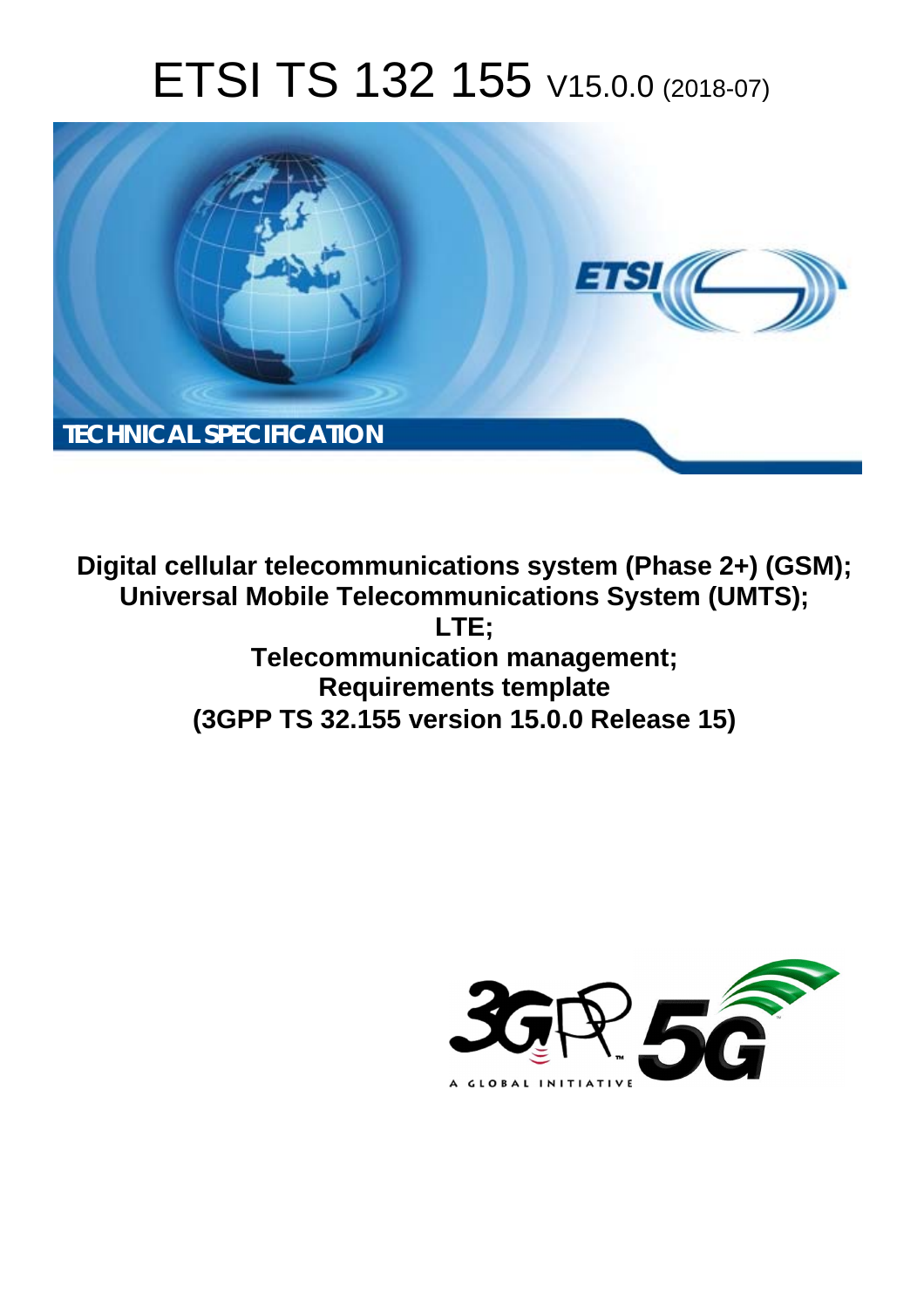# ETSI TS 132 155 V15.0.0 (2018-07)



**Digital cellular telecommunications system (Phase 2+) (GSM); Universal Mobile Telecommunications System (UMTS); LTE; Telecommunication management; Requirements template (3GPP TS 32.155 version 15.0.0 Release 15)** 

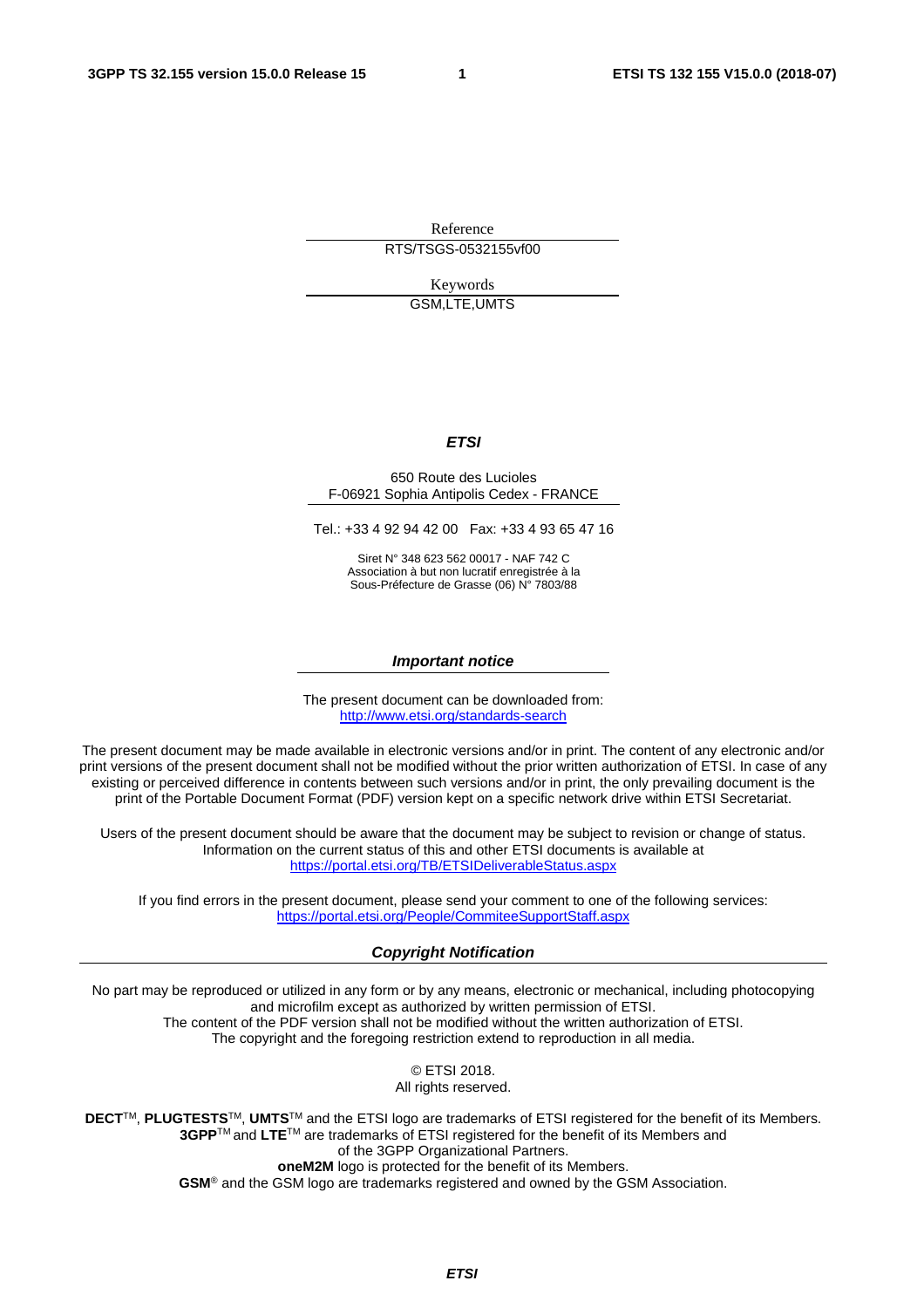Reference RTS/TSGS-0532155vf00

Keywords

GSM,LTE,UMTS

#### *ETSI*

#### 650 Route des Lucioles F-06921 Sophia Antipolis Cedex - FRANCE

Tel.: +33 4 92 94 42 00 Fax: +33 4 93 65 47 16

Siret N° 348 623 562 00017 - NAF 742 C Association à but non lucratif enregistrée à la Sous-Préfecture de Grasse (06) N° 7803/88

#### *Important notice*

The present document can be downloaded from: <http://www.etsi.org/standards-search>

The present document may be made available in electronic versions and/or in print. The content of any electronic and/or print versions of the present document shall not be modified without the prior written authorization of ETSI. In case of any existing or perceived difference in contents between such versions and/or in print, the only prevailing document is the print of the Portable Document Format (PDF) version kept on a specific network drive within ETSI Secretariat.

Users of the present document should be aware that the document may be subject to revision or change of status. Information on the current status of this and other ETSI documents is available at <https://portal.etsi.org/TB/ETSIDeliverableStatus.aspx>

If you find errors in the present document, please send your comment to one of the following services: <https://portal.etsi.org/People/CommiteeSupportStaff.aspx>

#### *Copyright Notification*

No part may be reproduced or utilized in any form or by any means, electronic or mechanical, including photocopying and microfilm except as authorized by written permission of ETSI. The content of the PDF version shall not be modified without the written authorization of ETSI. The copyright and the foregoing restriction extend to reproduction in all media.

> © ETSI 2018. All rights reserved.

**DECT**TM, **PLUGTESTS**TM, **UMTS**TM and the ETSI logo are trademarks of ETSI registered for the benefit of its Members. **3GPP**TM and **LTE**TM are trademarks of ETSI registered for the benefit of its Members and of the 3GPP Organizational Partners. **oneM2M** logo is protected for the benefit of its Members.

**GSM**® and the GSM logo are trademarks registered and owned by the GSM Association.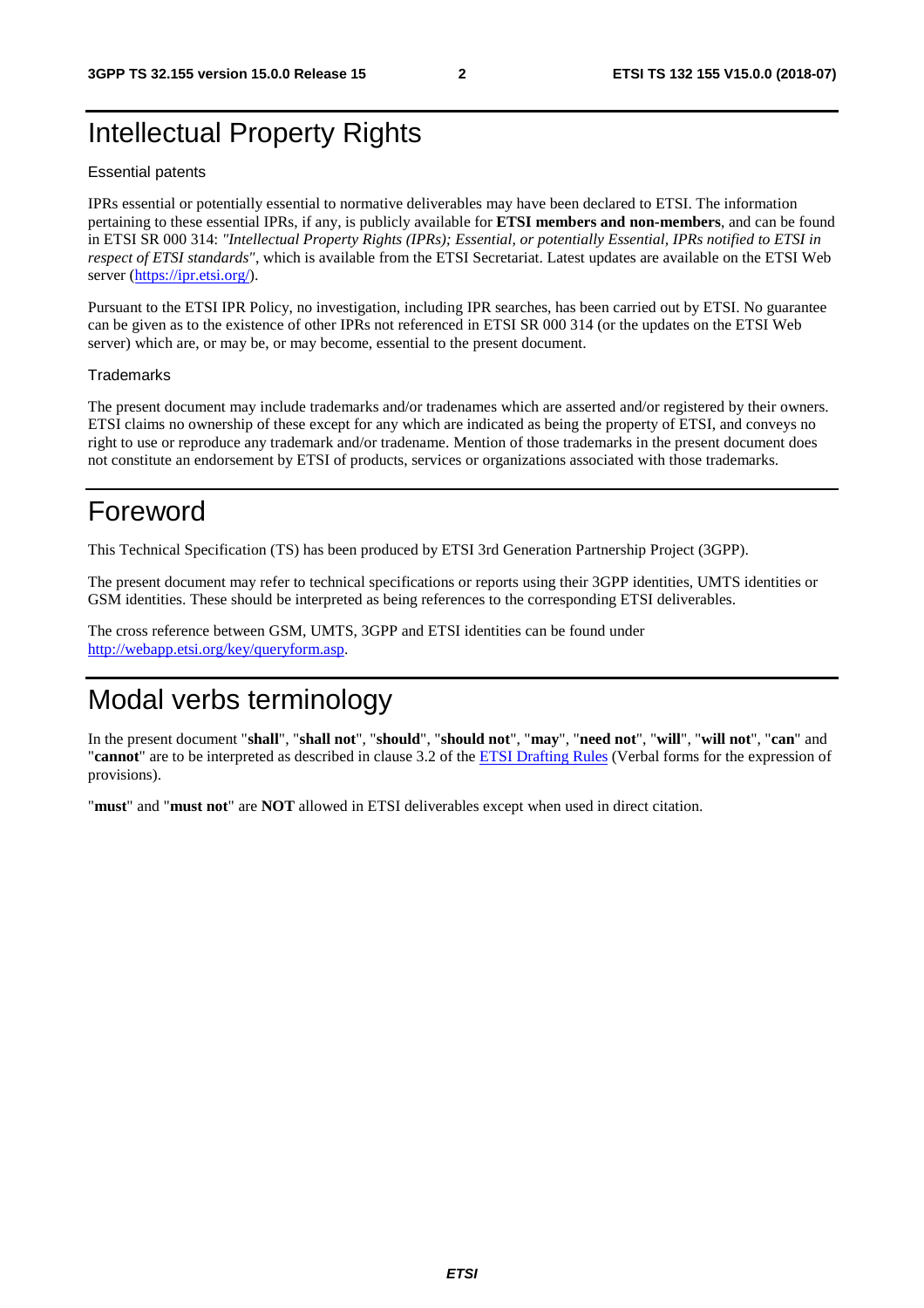### Intellectual Property Rights

#### Essential patents

IPRs essential or potentially essential to normative deliverables may have been declared to ETSI. The information pertaining to these essential IPRs, if any, is publicly available for **ETSI members and non-members**, and can be found in ETSI SR 000 314: *"Intellectual Property Rights (IPRs); Essential, or potentially Essential, IPRs notified to ETSI in respect of ETSI standards"*, which is available from the ETSI Secretariat. Latest updates are available on the ETSI Web server ([https://ipr.etsi.org/\)](https://ipr.etsi.org/).

Pursuant to the ETSI IPR Policy, no investigation, including IPR searches, has been carried out by ETSI. No guarantee can be given as to the existence of other IPRs not referenced in ETSI SR 000 314 (or the updates on the ETSI Web server) which are, or may be, or may become, essential to the present document.

#### **Trademarks**

The present document may include trademarks and/or tradenames which are asserted and/or registered by their owners. ETSI claims no ownership of these except for any which are indicated as being the property of ETSI, and conveys no right to use or reproduce any trademark and/or tradename. Mention of those trademarks in the present document does not constitute an endorsement by ETSI of products, services or organizations associated with those trademarks.

### Foreword

This Technical Specification (TS) has been produced by ETSI 3rd Generation Partnership Project (3GPP).

The present document may refer to technical specifications or reports using their 3GPP identities, UMTS identities or GSM identities. These should be interpreted as being references to the corresponding ETSI deliverables.

The cross reference between GSM, UMTS, 3GPP and ETSI identities can be found under [http://webapp.etsi.org/key/queryform.asp.](http://webapp.etsi.org/key/queryform.asp)

### Modal verbs terminology

In the present document "**shall**", "**shall not**", "**should**", "**should not**", "**may**", "**need not**", "**will**", "**will not**", "**can**" and "**cannot**" are to be interpreted as described in clause 3.2 of the [ETSI Drafting Rules](https://portal.etsi.org/Services/editHelp!/Howtostart/ETSIDraftingRules.aspx) (Verbal forms for the expression of provisions).

"**must**" and "**must not**" are **NOT** allowed in ETSI deliverables except when used in direct citation.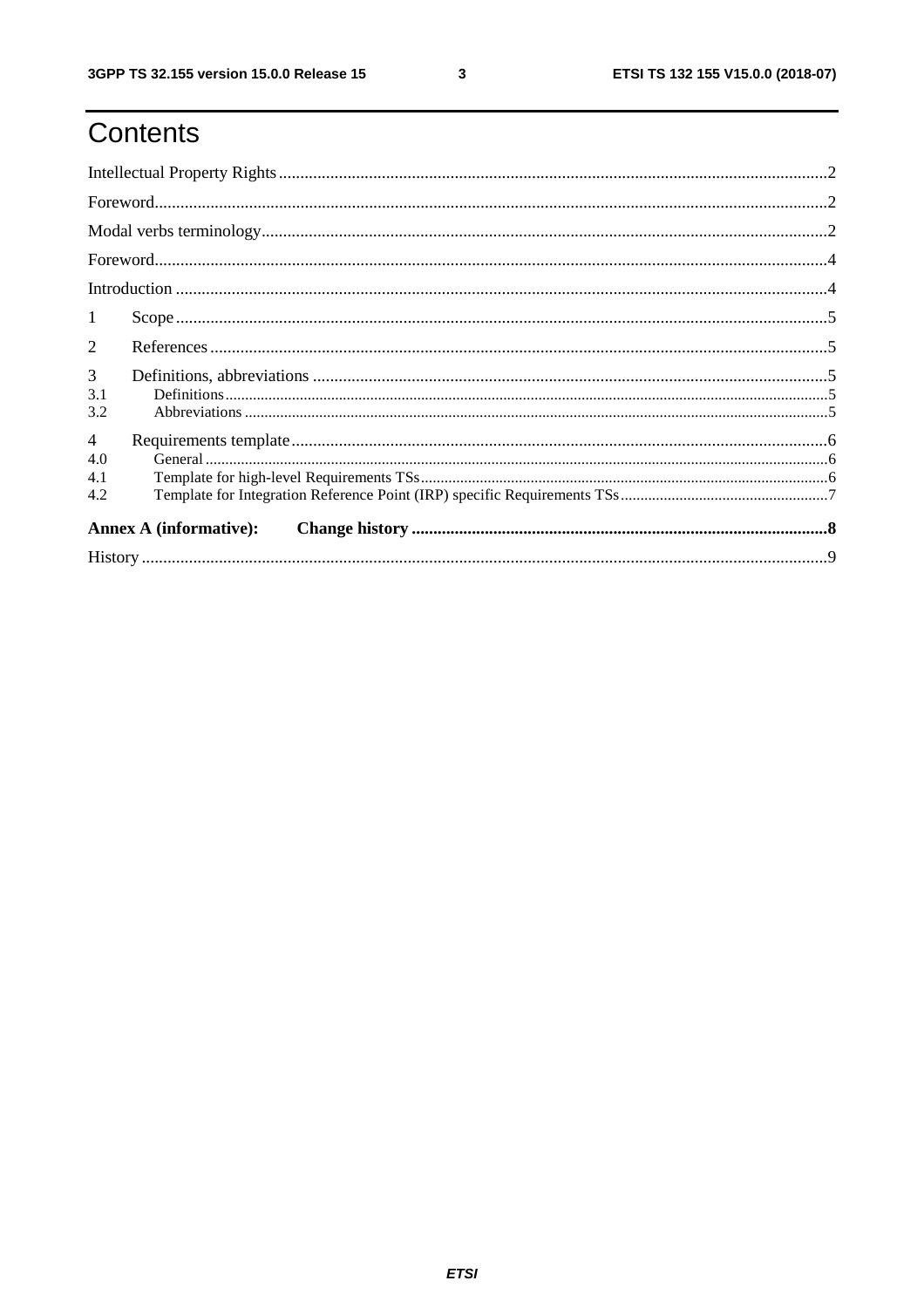# Contents

| $\mathbf{1}$          |                                                                                                                                                                                                                                                                                                                                                                                                                                                                                                        |  |
|-----------------------|--------------------------------------------------------------------------------------------------------------------------------------------------------------------------------------------------------------------------------------------------------------------------------------------------------------------------------------------------------------------------------------------------------------------------------------------------------------------------------------------------------|--|
| $\overline{2}$        |                                                                                                                                                                                                                                                                                                                                                                                                                                                                                                        |  |
| 3<br>3.1              | $\textbf{Definitions} \textcolor{red}{\textbf{15}} \textcolor{red}{\textbf{.16}} \textcolor{red}{\textbf{.17}} \textcolor{red}{\textbf{.17}} \textcolor{red}{\textbf{.17}} \textcolor{red}{\textbf{.17}} \textcolor{red}{\textbf{.17}} \textcolor{red}{\textbf{.17}} \textcolor{red}{\textbf{.17}} \textcolor{red}{\textbf{.17}} \textcolor{red}{\textbf{.17}} \textcolor{red}{\textbf{.17}} \textcolor{red}{\textbf{.17}} \textcolor{red}{\textbf{.17}} \textcolor{red}{\textbf{.17}} \textcolor{red$ |  |
| 3.2                   |                                                                                                                                                                                                                                                                                                                                                                                                                                                                                                        |  |
| $\overline{4}$<br>4.0 |                                                                                                                                                                                                                                                                                                                                                                                                                                                                                                        |  |
| 4.1<br>4.2            |                                                                                                                                                                                                                                                                                                                                                                                                                                                                                                        |  |
|                       | <b>Annex A (informative):</b>                                                                                                                                                                                                                                                                                                                                                                                                                                                                          |  |
|                       |                                                                                                                                                                                                                                                                                                                                                                                                                                                                                                        |  |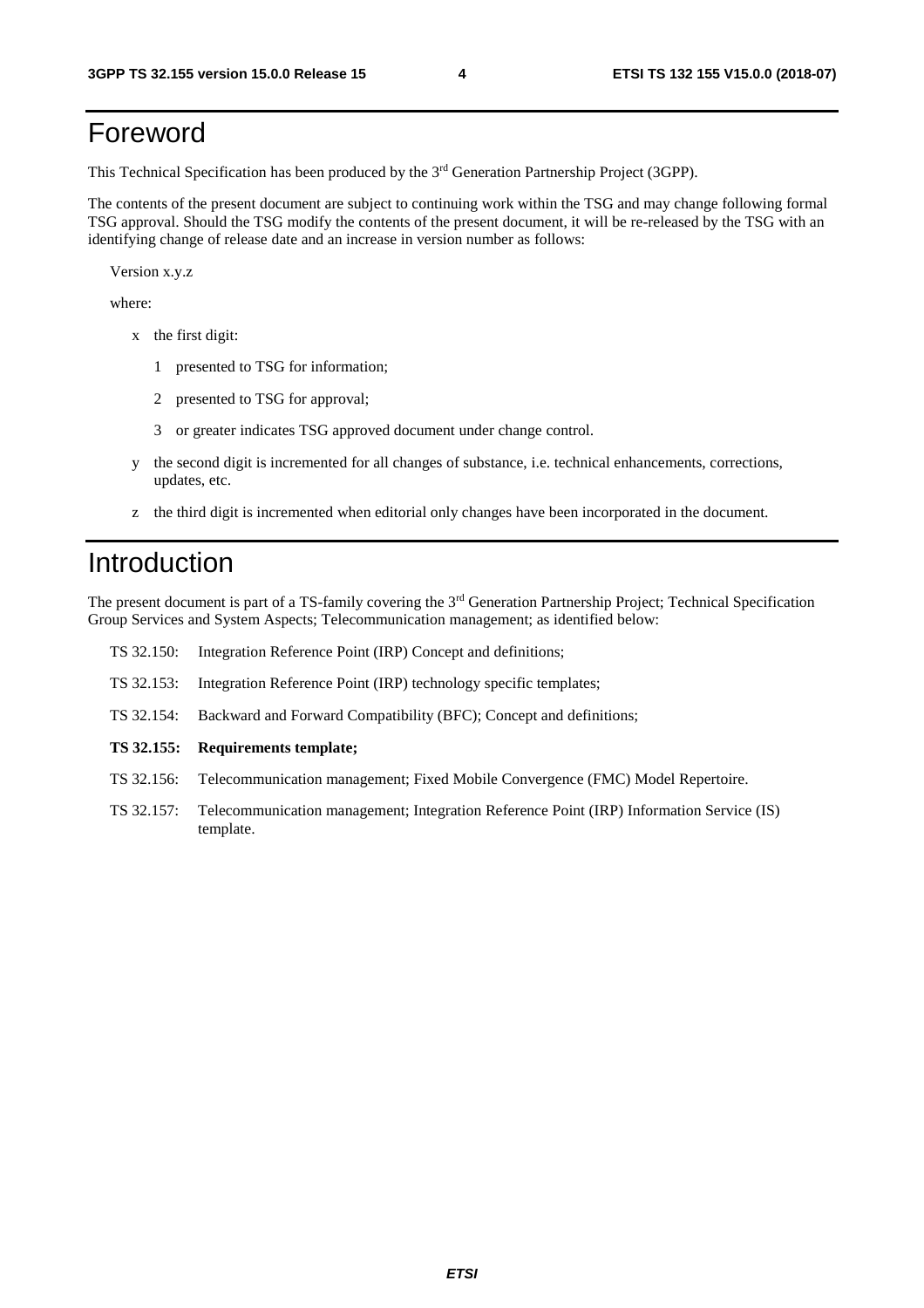### Foreword

This Technical Specification has been produced by the 3rd Generation Partnership Project (3GPP).

The contents of the present document are subject to continuing work within the TSG and may change following formal TSG approval. Should the TSG modify the contents of the present document, it will be re-released by the TSG with an identifying change of release date and an increase in version number as follows:

Version x.y.z

where:

- x the first digit:
	- 1 presented to TSG for information;
	- 2 presented to TSG for approval;
	- 3 or greater indicates TSG approved document under change control.
- y the second digit is incremented for all changes of substance, i.e. technical enhancements, corrections, updates, etc.
- z the third digit is incremented when editorial only changes have been incorporated in the document.

#### Introduction

The present document is part of a TS-family covering the 3rd Generation Partnership Project; Technical Specification Group Services and System Aspects; Telecommunication management; as identified below:

| TS 32.150: |  |  | Integration Reference Point (IRP) Concept and definitions; |
|------------|--|--|------------------------------------------------------------|
|            |  |  |                                                            |

- TS 32.153: Integration Reference Point (IRP) technology specific templates;
- TS 32.154: Backward and Forward Compatibility (BFC); Concept and definitions;
- **TS 32.155: Requirements template;**
- TS 32.156: Telecommunication management; Fixed Mobile Convergence (FMC) Model Repertoire.
- TS 32.157: Telecommunication management; Integration Reference Point (IRP) Information Service (IS) template.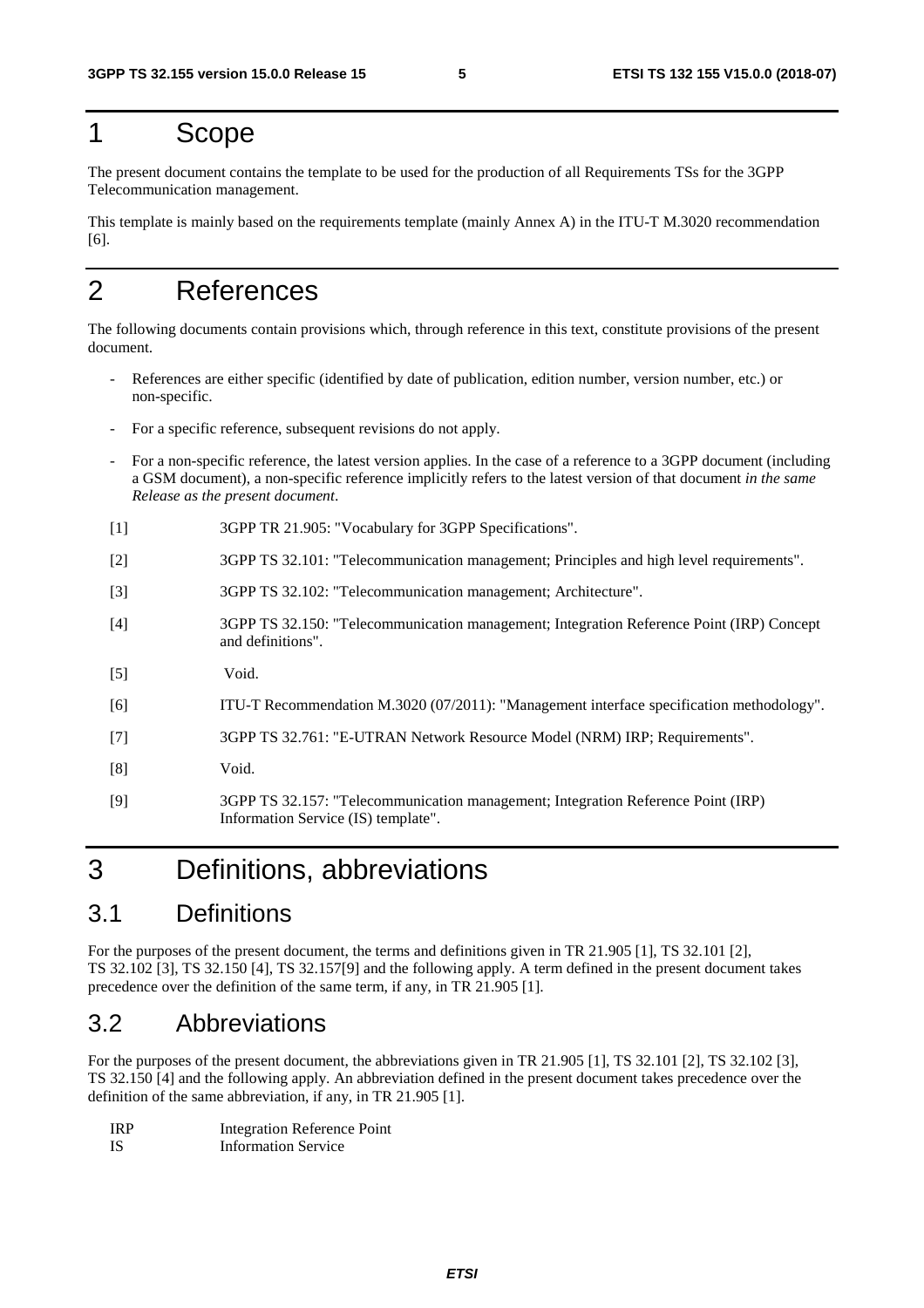#### 1 Scope

The present document contains the template to be used for the production of all Requirements TSs for the 3GPP Telecommunication management.

This template is mainly based on the requirements template (mainly Annex A) in the ITU-T M.3020 recommendation [6].

## 2 References

The following documents contain provisions which, through reference in this text, constitute provisions of the present document.

- References are either specific (identified by date of publication, edition number, version number, etc.) or non-specific.
- For a specific reference, subsequent revisions do not apply.
- For a non-specific reference, the latest version applies. In the case of a reference to a 3GPP document (including a GSM document), a non-specific reference implicitly refers to the latest version of that document *in the same Release as the present document*.
- [1] 3GPP TR 21.905: "Vocabulary for 3GPP Specifications".
- [2] 3GPP TS 32.101: "Telecommunication management; Principles and high level requirements".
- [3] 3GPP TS 32.102: "Telecommunication management; Architecture".
- [4] 3GPP TS 32.150: "Telecommunication management; Integration Reference Point (IRP) Concept and definitions".
- [5] Void.
- [6] ITU-T Recommendation M.3020 (07/2011): "Management interface specification methodology".
- [7] 3GPP TS 32.761: "E-UTRAN Network Resource Model (NRM) IRP; Requirements".
- [8] Void.
- [9] 3GPP TS 32.157: "Telecommunication management; Integration Reference Point (IRP) Information Service (IS) template".

### 3 Definitions, abbreviations

#### 3.1 Definitions

For the purposes of the present document, the terms and definitions given in TR 21.905 [1], TS 32.101 [2], TS 32.102 [3], TS 32.150 [4], TS 32.157[9] and the following apply. A term defined in the present document takes precedence over the definition of the same term, if any, in TR 21.905 [1].

#### 3.2 Abbreviations

For the purposes of the present document, the abbreviations given in TR 21.905 [1], TS 32.101 [2], TS 32.102 [3], TS 32.150 [4] and the following apply. An abbreviation defined in the present document takes precedence over the definition of the same abbreviation, if any, in TR 21.905 [1].

| <b>IRP</b> | <b>Integration Reference Point</b> |
|------------|------------------------------------|
| -IS        | <b>Information Service</b>         |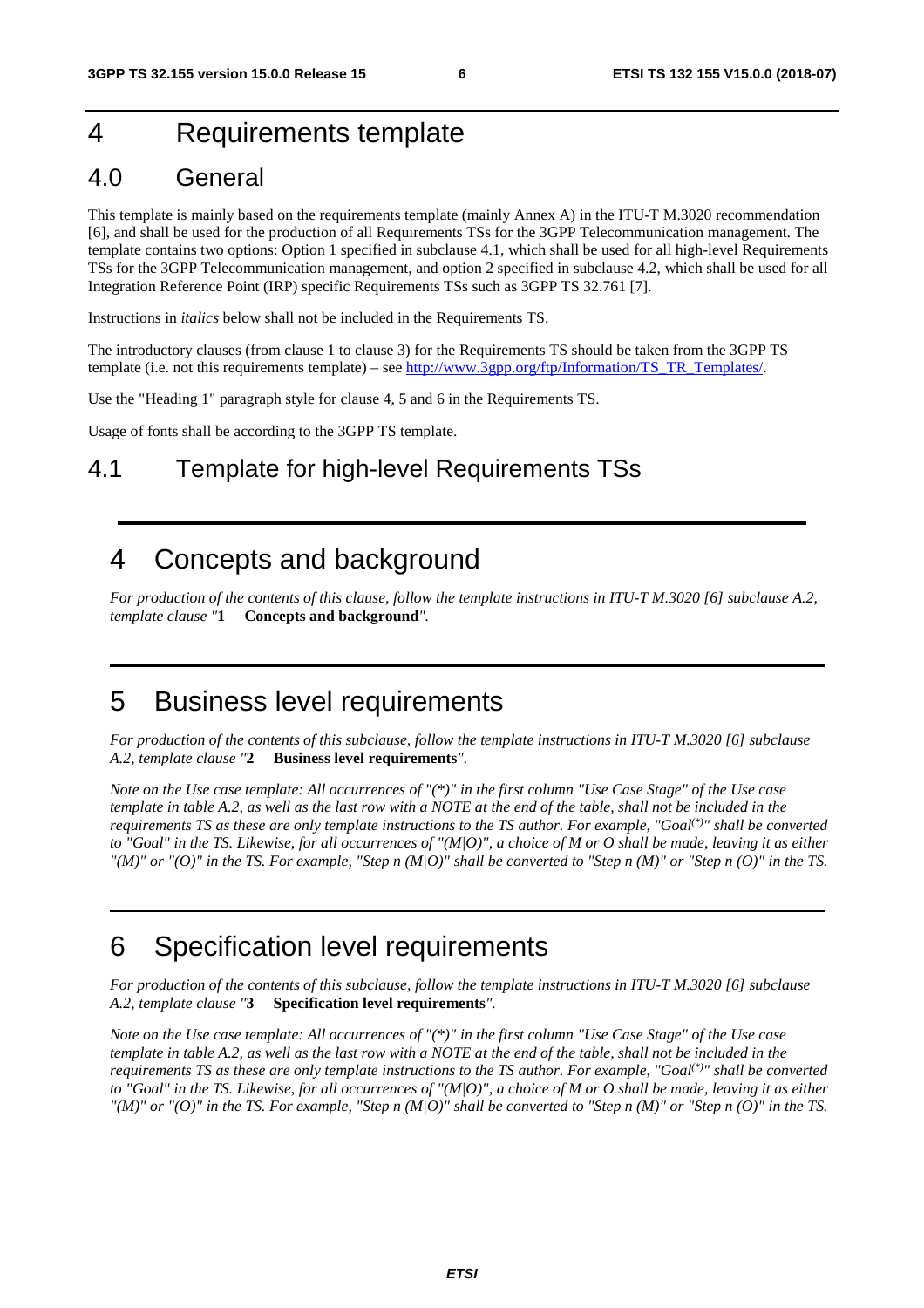### 4 Requirements template

#### 4.0 General

This template is mainly based on the requirements template (mainly Annex A) in the ITU-T M.3020 recommendation [6], and shall be used for the production of all Requirements TSs for the 3GPP Telecommunication management. The template contains two options: Option 1 specified in subclause 4.1, which shall be used for all high-level Requirements TSs for the 3GPP Telecommunication management, and option 2 specified in subclause 4.2, which shall be used for all Integration Reference Point (IRP) specific Requirements TSs such as 3GPP TS 32.761 [7].

Instructions in *italics* below shall not be included in the Requirements TS.

The introductory clauses (from clause 1 to clause 3) for the Requirements TS should be taken from the 3GPP TS template (i.e. not this requirements template) – see [http://www.3gpp.org/ftp/Information/TS\\_TR\\_Templates/.](http://www.3gpp.org/ftp/Information/TS_TR_Templates/)

Use the "Heading 1" paragraph style for clause 4, 5 and 6 in the Requirements TS.

Usage of fonts shall be according to the 3GPP TS template.

#### 4.1 Template for high-level Requirements TSs

#### 4 Concepts and background

*For production of the contents of this clause, follow the template instructions in ITU-T M.3020 [6] subclause A.2, template clause "***1 Concepts and background***".* 

### 5 Business level requirements

*For production of the contents of this subclause, follow the template instructions in ITU-T M.3020 [6] subclause A.2, template clause "***2 Business level requirements***".* 

*Note on the Use case template: All occurrences of "(\*)" in the first column "Use Case Stage" of the Use case template in table A.2, as well as the last row with a NOTE at the end of the table, shall not be included in the requirements TS as these are only template instructions to the TS author. For example, "Goal(\*)" shall be converted to "Goal" in the TS. Likewise, for all occurrences of "(M|O)", a choice of M or O shall be made, leaving it as either*   $T(M)$ " or  $T(O)$ " in the TS. For example, "Step n  $(M/O)$ " shall be converted to "Step n  $(M)$ " or "Step n  $(O)$ " in the TS.

### 6 Specification level requirements

*For production of the contents of this subclause, follow the template instructions in ITU-T M.3020 [6] subclause A.2, template clause "***3 Specification level requirements***".* 

*Note on the Use case template: All occurrences of "(\*)" in the first column "Use Case Stage" of the Use case template in table A.2, as well as the last row with a NOTE at the end of the table, shall not be included in the requirements TS as these are only template instructions to the TS author. For example, "Goal(\*)" shall be converted to "Goal" in the TS. Likewise, for all occurrences of "(M|O)", a choice of M or O shall be made, leaving it as either*   $H(M)$ " or "(O)" in the TS. For example, "Step n  $(M|O)$ " shall be converted to "Step n  $(M)$ " or "Step n  $(O)$ " in the TS.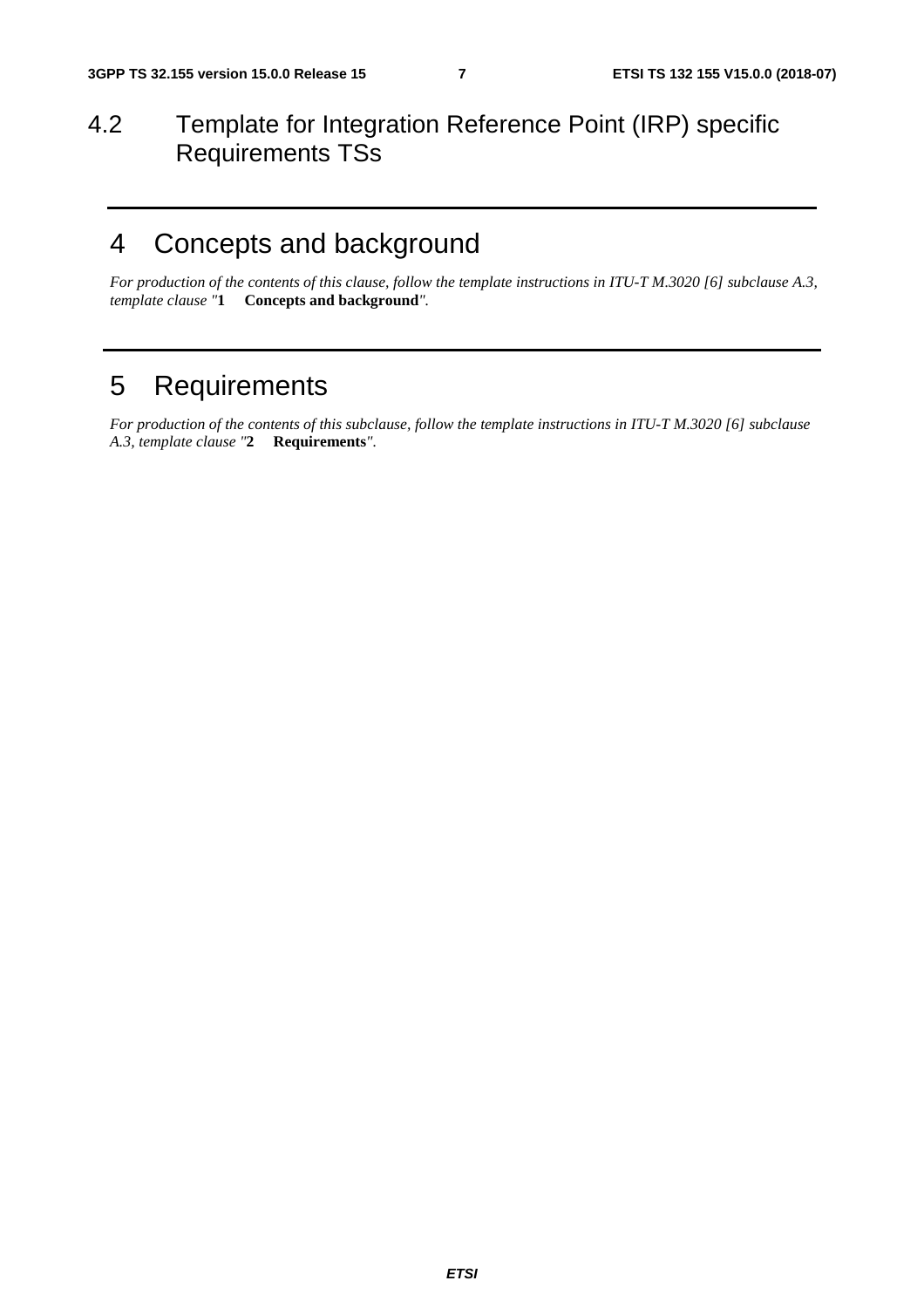#### 4.2 Template for Integration Reference Point (IRP) specific Requirements TSs

### 4 Concepts and background

*For production of the contents of this clause, follow the template instructions in ITU-T M.3020 [6] subclause A.3, template clause "***1 Concepts and background***".* 

### 5 Requirements

*For production of the contents of this subclause, follow the template instructions in ITU-T M.3020 [6] subclause A.3, template clause "***2 Requirements***".*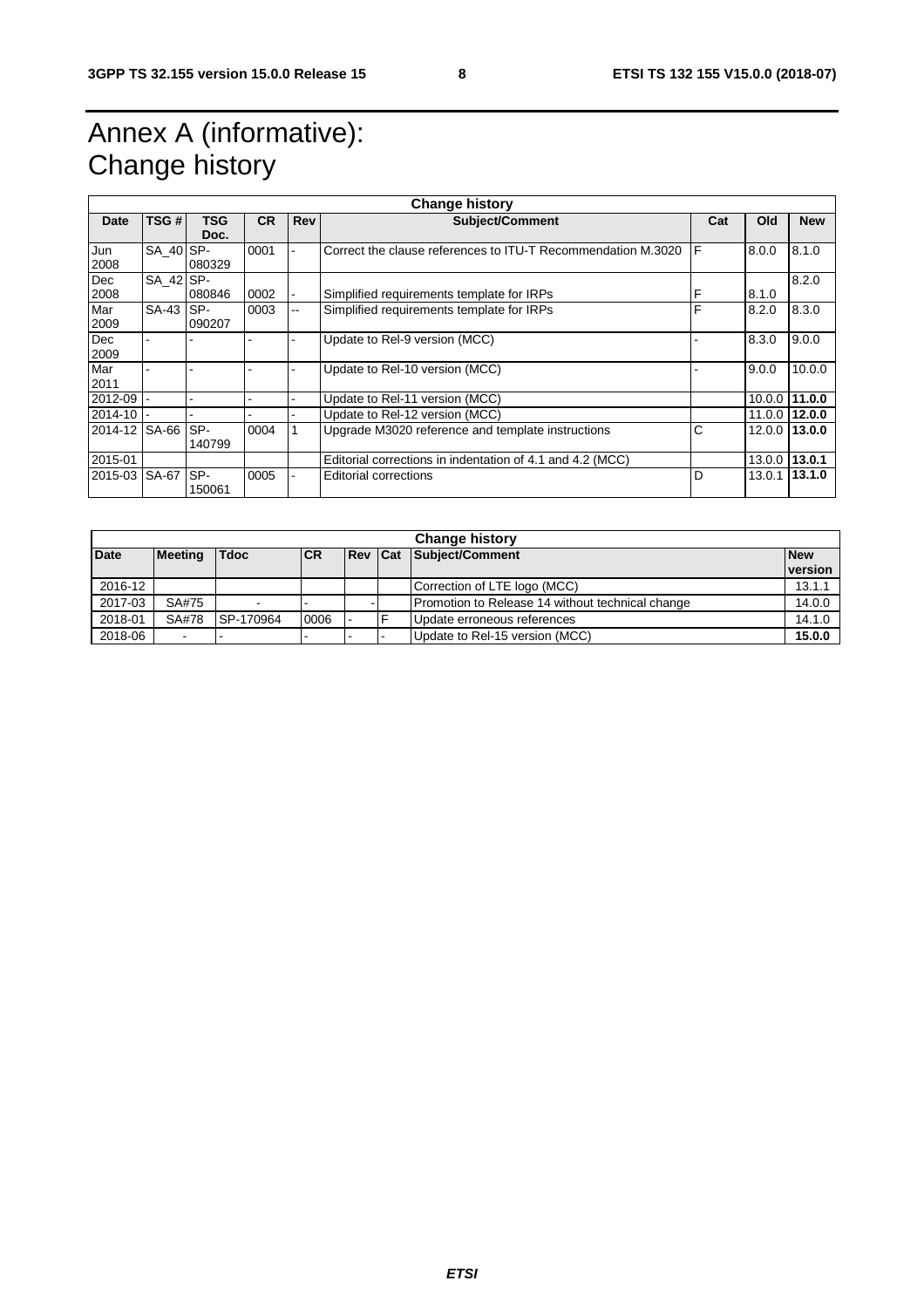# Annex A (informative): Change history

| <b>Change history</b> |           |        |           |       |                                                              |     |        |               |
|-----------------------|-----------|--------|-----------|-------|--------------------------------------------------------------|-----|--------|---------------|
| Date                  | TSG #     | TSG    | <b>CR</b> | Rev   | <b>Subject/Comment</b>                                       | Cat | Old    | <b>New</b>    |
|                       |           | Doc.   |           |       |                                                              |     |        |               |
| Jun                   | SA 40 SP- |        | 0001      |       | Correct the clause references to ITU-T Recommendation M.3020 | F   | 8.0.0  | 8.1.0         |
| 2008                  |           | 080329 |           |       |                                                              |     |        |               |
| Dec                   | SA 42 SP- |        |           |       |                                                              |     |        | 8.2.0         |
| 2008                  |           | 080846 | 0002      |       | Simplified requirements template for IRPs                    | F   | 8.1.0  |               |
| Mar                   | SA-43 SP- |        | 0003      | $- -$ | Simplified requirements template for IRPs                    | F   | 8.2.0  | 8.3.0         |
| 2009                  |           | 090207 |           |       |                                                              |     |        |               |
| Dec                   |           |        |           |       | Update to Rel-9 version (MCC)                                |     | 8.3.0  | 9.0.0         |
| 2009                  |           |        |           |       |                                                              |     |        |               |
| Mar                   |           |        |           |       | Update to Rel-10 version (MCC)                               |     | 9.0.0  | 10.0.0        |
| 2011                  |           |        |           |       |                                                              |     |        |               |
| 2012-09               |           |        |           |       | Update to Rel-11 version (MCC)                               |     | 10.0.0 | 11.0.0        |
| 2014-10               |           |        |           |       | Update to Rel-12 version (MCC)                               |     |        | 11.0.0 12.0.0 |
| 2014-12 SA-66         |           | SP-    | 0004      |       | Upgrade M3020 reference and template instructions            | С   |        | 12.0.0 13.0.0 |
|                       |           | 140799 |           |       |                                                              |     |        |               |
| 2015-01               |           |        |           |       | Editorial corrections in indentation of 4.1 and 4.2 (MCC)    |     | 13.0.0 | 13.0.1        |
| 2015-03 SA-67         |           | SP-    | 0005      |       | <b>Editorial corrections</b>                                 | D   | 13.0.1 | 13.1.0        |
|                       |           | 150061 |           |       |                                                              |     |        |               |

| <b>Change history</b> |                |             |            |  |  |                                                  |                       |
|-----------------------|----------------|-------------|------------|--|--|--------------------------------------------------|-----------------------|
| <b>Date</b>           | <b>Meeting</b> | <b>Tdoc</b> | <b>ICR</b> |  |  | <b>Rev Cat Subject/Comment</b>                   | <b>New</b><br>version |
| 2016-12               |                |             |            |  |  | Correction of LTE logo (MCC)                     | 13.1.1                |
| 2017-03               | SA#75          |             |            |  |  | Promotion to Release 14 without technical change | 14.0.0                |
| 2018-01               | SA#78          | SP-170964   | 0006       |  |  | Update erroneous references                      | 14.1.0                |
| 2018-06               | ۰              |             |            |  |  | Update to Rel-15 version (MCC)                   | 15.0.0                |